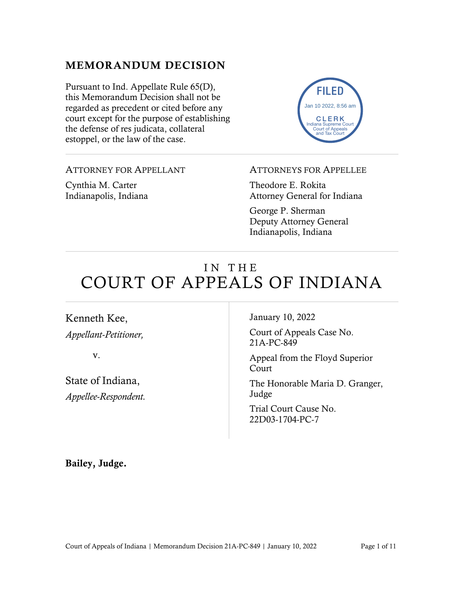### MEMORANDUM DECISION

Pursuant to Ind. Appellate Rule 65(D), this Memorandum Decision shall not be regarded as precedent or cited before any court except for the purpose of establishing the defense of res judicata, collateral estoppel, or the law of the case.

FILED CLERK Indiana Supreme Court Court of App and Tax Court Jan 10 2022, 8:56 am

ATTORNEY FOR APPELLANT

Cynthia M. Carter Indianapolis, Indiana

#### ATTORNEYS FOR APPELLEE

Theodore E. Rokita Attorney General for Indiana

George P. Sherman Deputy Attorney General Indianapolis, Indiana

# IN THE COURT OF APPEALS OF INDIANA

Kenneth Kee, *Appellant-Petitioner,*

v.

State of Indiana, *Appellee-Respondent.* January 10, 2022

Court of Appeals Case No. 21A-PC-849

Appeal from the Floyd Superior Court

The Honorable Maria D. Granger, Judge

Trial Court Cause No. 22D03-1704-PC-7

Bailey, Judge.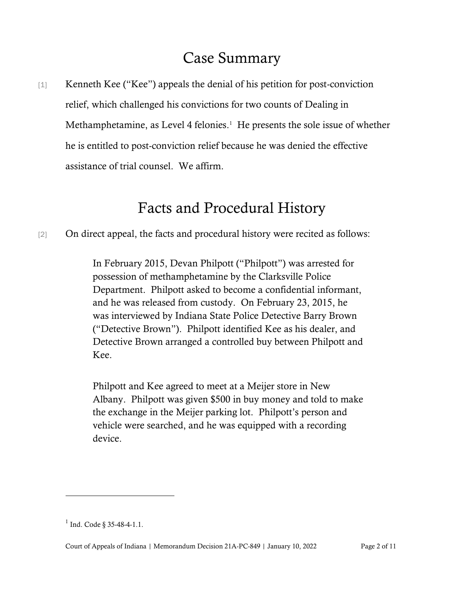## Case Summary

[1] Kenneth Kee ("Kee") appeals the denial of his petition for post-conviction relief, which challenged his convictions for two counts of Dealing in Methamphetamine, as Level 4 felonies. $<sup>1</sup>$  He presents the sole issue of whether</sup> he is entitled to post-conviction relief because he was denied the effective assistance of trial counsel. We affirm.

# Facts and Procedural History

[2] On direct appeal, the facts and procedural history were recited as follows:

In February 2015, Devan Philpott ("Philpott") was arrested for possession of methamphetamine by the Clarksville Police Department. Philpott asked to become a confidential informant, and he was released from custody. On February 23, 2015, he was interviewed by Indiana State Police Detective Barry Brown ("Detective Brown"). Philpott identified Kee as his dealer, and Detective Brown arranged a controlled buy between Philpott and Kee.

Philpott and Kee agreed to meet at a Meijer store in New Albany. Philpott was given \$500 in buy money and told to make the exchange in the Meijer parking lot. Philpott's person and vehicle were searched, and he was equipped with a recording device.

 $1$  Ind. Code § 35-48-4-1.1.

Court of Appeals of Indiana | Memorandum Decision 21A-PC-849 | January 10, 2022 Page 2 of 11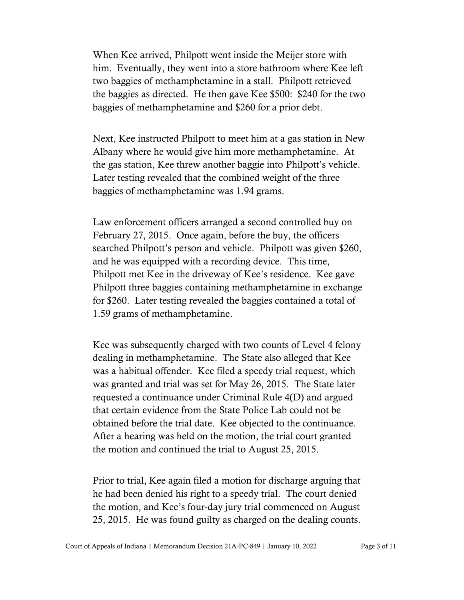When Kee arrived, Philpott went inside the Meijer store with him. Eventually, they went into a store bathroom where Kee left two baggies of methamphetamine in a stall. Philpott retrieved the baggies as directed. He then gave Kee \$500: \$240 for the two baggies of methamphetamine and \$260 for a prior debt.

Next, Kee instructed Philpott to meet him at a gas station in New Albany where he would give him more methamphetamine. At the gas station, Kee threw another baggie into Philpott's vehicle. Later testing revealed that the combined weight of the three baggies of methamphetamine was 1.94 grams.

Law enforcement officers arranged a second controlled buy on February 27, 2015. Once again, before the buy, the officers searched Philpott's person and vehicle. Philpott was given \$260, and he was equipped with a recording device. This time, Philpott met Kee in the driveway of Kee's residence. Kee gave Philpott three baggies containing methamphetamine in exchange for \$260. Later testing revealed the baggies contained a total of 1.59 grams of methamphetamine.

Kee was subsequently charged with two counts of Level 4 felony dealing in methamphetamine. The State also alleged that Kee was a habitual offender. Kee filed a speedy trial request, which was granted and trial was set for May 26, 2015. The State later requested a continuance under Criminal Rule 4(D) and argued that certain evidence from the State Police Lab could not be obtained before the trial date. Kee objected to the continuance. After a hearing was held on the motion, the trial court granted the motion and continued the trial to August 25, 2015.

Prior to trial, Kee again filed a motion for discharge arguing that he had been denied his right to a speedy trial. The court denied the motion, and Kee's four-day jury trial commenced on August 25, 2015. He was found guilty as charged on the dealing counts.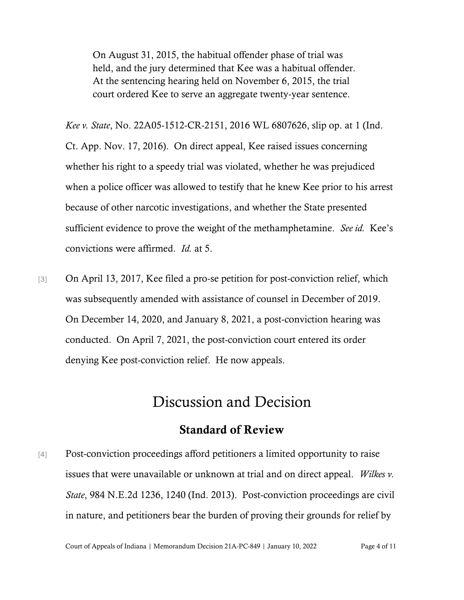On August 31, 2015, the habitual offender phase of trial was held, and the jury determined that Kee was a habitual offender. At the sentencing hearing held on November 6, 2015, the trial court ordered Kee to serve an aggregate twenty-year sentence.

*Kee v. State*, No. 22A05-1512-CR-2151, 2016 WL 6807626, slip op. at 1 (Ind. Ct. App. Nov. 17, 2016). On direct appeal, Kee raised issues concerning whether his right to a speedy trial was violated, whether he was prejudiced when a police officer was allowed to testify that he knew Kee prior to his arrest because of other narcotic investigations, and whether the State presented sufficient evidence to prove the weight of the methamphetamine. *See id.* Kee's convictions were affirmed. *Id.* at 5.

[3] On April 13, 2017, Kee filed a pro-se petition for post-conviction relief, which was subsequently amended with assistance of counsel in December of 2019. On December 14, 2020, and January 8, 2021, a post-conviction hearing was conducted. On April 7, 2021, the post-conviction court entered its order denying Kee post-conviction relief. He now appeals.

### Discussion and Decision

#### Standard of Review

[4] Post-conviction proceedings afford petitioners a limited opportunity to raise issues that were unavailable or unknown at trial and on direct appeal. *Wilkes v. State*, 984 N.E.2d 1236, 1240 (Ind. 2013). Post-conviction proceedings are civil in nature, and petitioners bear the burden of proving their grounds for relief by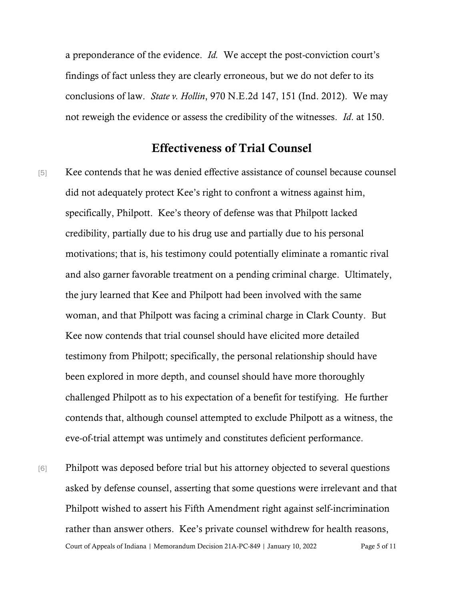a preponderance of the evidence. *Id.* We accept the post-conviction court's findings of fact unless they are clearly erroneous, but we do not defer to its conclusions of law. *State v. Hollin*, 970 N.E.2d 147, 151 (Ind. 2012). We may not reweigh the evidence or assess the credibility of the witnesses. *Id*. at 150.

#### Effectiveness of Trial Counsel

- [5] Kee contends that he was denied effective assistance of counsel because counsel did not adequately protect Kee's right to confront a witness against him, specifically, Philpott. Kee's theory of defense was that Philpott lacked credibility, partially due to his drug use and partially due to his personal motivations; that is, his testimony could potentially eliminate a romantic rival and also garner favorable treatment on a pending criminal charge. Ultimately, the jury learned that Kee and Philpott had been involved with the same woman, and that Philpott was facing a criminal charge in Clark County. But Kee now contends that trial counsel should have elicited more detailed testimony from Philpott; specifically, the personal relationship should have been explored in more depth, and counsel should have more thoroughly challenged Philpott as to his expectation of a benefit for testifying. He further contends that, although counsel attempted to exclude Philpott as a witness, the eve-of-trial attempt was untimely and constitutes deficient performance.
- Court of Appeals of Indiana | Memorandum Decision 21A-PC-849 | January 10, 2022 Page 5 of 11 [6] Philpott was deposed before trial but his attorney objected to several questions asked by defense counsel, asserting that some questions were irrelevant and that Philpott wished to assert his Fifth Amendment right against self-incrimination rather than answer others. Kee's private counsel withdrew for health reasons,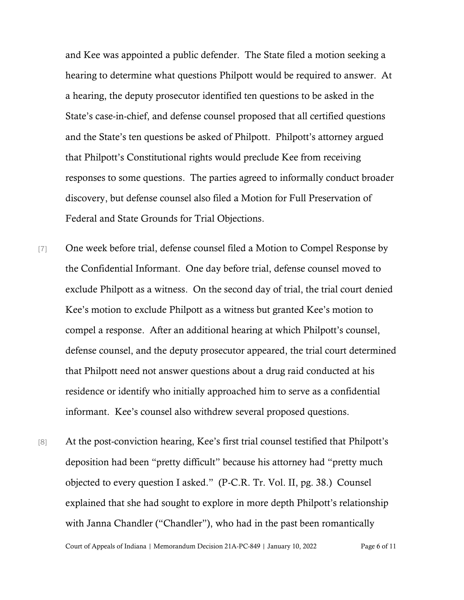and Kee was appointed a public defender. The State filed a motion seeking a hearing to determine what questions Philpott would be required to answer. At a hearing, the deputy prosecutor identified ten questions to be asked in the State's case-in-chief, and defense counsel proposed that all certified questions and the State's ten questions be asked of Philpott. Philpott's attorney argued that Philpott's Constitutional rights would preclude Kee from receiving responses to some questions. The parties agreed to informally conduct broader discovery, but defense counsel also filed a Motion for Full Preservation of Federal and State Grounds for Trial Objections.

- [7] One week before trial, defense counsel filed a Motion to Compel Response by the Confidential Informant. One day before trial, defense counsel moved to exclude Philpott as a witness. On the second day of trial, the trial court denied Kee's motion to exclude Philpott as a witness but granted Kee's motion to compel a response. After an additional hearing at which Philpott's counsel, defense counsel, and the deputy prosecutor appeared, the trial court determined that Philpott need not answer questions about a drug raid conducted at his residence or identify who initially approached him to serve as a confidential informant. Kee's counsel also withdrew several proposed questions.
- [8] At the post-conviction hearing, Kee's first trial counsel testified that Philpott's deposition had been "pretty difficult" because his attorney had "pretty much objected to every question I asked." (P-C.R. Tr. Vol. II, pg. 38.) Counsel explained that she had sought to explore in more depth Philpott's relationship with Janna Chandler ("Chandler"), who had in the past been romantically

Court of Appeals of Indiana | Memorandum Decision 21A-PC-849 | January 10, 2022 Page 6 of 11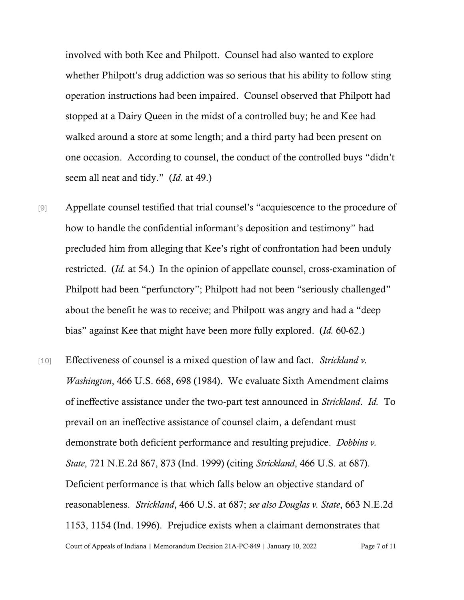involved with both Kee and Philpott. Counsel had also wanted to explore whether Philpott's drug addiction was so serious that his ability to follow sting operation instructions had been impaired. Counsel observed that Philpott had stopped at a Dairy Queen in the midst of a controlled buy; he and Kee had walked around a store at some length; and a third party had been present on one occasion. According to counsel, the conduct of the controlled buys "didn't seem all neat and tidy." (*Id.* at 49.)

- [9] Appellate counsel testified that trial counsel's "acquiescence to the procedure of how to handle the confidential informant's deposition and testimony" had precluded him from alleging that Kee's right of confrontation had been unduly restricted. (*Id.* at 54.) In the opinion of appellate counsel, cross-examination of Philpott had been "perfunctory"; Philpott had not been "seriously challenged" about the benefit he was to receive; and Philpott was angry and had a "deep bias" against Kee that might have been more fully explored. (*Id.* 60-62.)
- Court of Appeals of Indiana | Memorandum Decision 21A-PC-849 | January 10, 2022 Page 7 of 11 [10] Effectiveness of counsel is a mixed question of law and fact. *Strickland v. Washington*, 466 U.S. 668, 698 (1984). We evaluate Sixth Amendment claims of ineffective assistance under the two-part test announced in *Strickland*. *Id.* To prevail on an ineffective assistance of counsel claim, a defendant must demonstrate both deficient performance and resulting prejudice. *Dobbins v. State*, 721 N.E.2d 867, 873 (Ind. 1999) (citing *Strickland*, 466 U.S. at 687). Deficient performance is that which falls below an objective standard of reasonableness. *Strickland*, 466 U.S. at 687; *see also Douglas v. State*, 663 N.E.2d 1153, 1154 (Ind. 1996). Prejudice exists when a claimant demonstrates that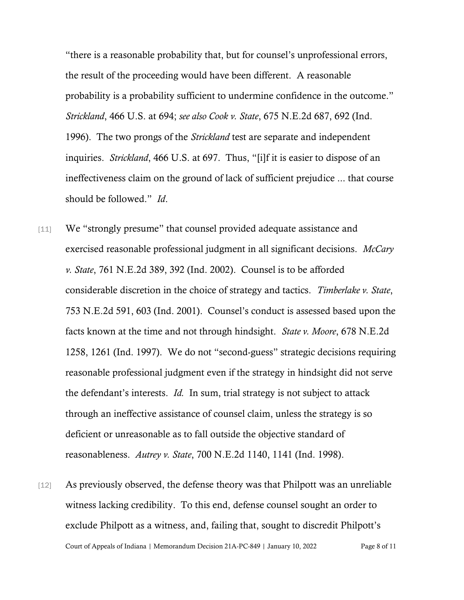"there is a reasonable probability that, but for counsel's unprofessional errors, the result of the proceeding would have been different. A reasonable probability is a probability sufficient to undermine confidence in the outcome." *Strickland*, 466 U.S. at 694; *see also Cook v. State*, 675 N.E.2d 687, 692 (Ind. 1996). The two prongs of the *Strickland* test are separate and independent inquiries. *Strickland*, 466 U.S. at 697. Thus, "[i]f it is easier to dispose of an ineffectiveness claim on the ground of lack of sufficient prejudice ... that course should be followed." *Id*.

- [11] We "strongly presume" that counsel provided adequate assistance and exercised reasonable professional judgment in all significant decisions. *McCary v. State*, 761 N.E.2d 389, 392 (Ind. 2002). Counsel is to be afforded considerable discretion in the choice of strategy and tactics. *Timberlake v. State*, 753 N.E.2d 591, 603 (Ind. 2001). Counsel's conduct is assessed based upon the facts known at the time and not through hindsight. *State v. Moore*, 678 N.E.2d 1258, 1261 (Ind. 1997). We do not "second-guess" strategic decisions requiring reasonable professional judgment even if the strategy in hindsight did not serve the defendant's interests. *Id.* In sum, trial strategy is not subject to attack through an ineffective assistance of counsel claim, unless the strategy is so deficient or unreasonable as to fall outside the objective standard of reasonableness. *Autrey v. State*, 700 N.E.2d 1140, 1141 (Ind. 1998).
- Court of Appeals of Indiana | Memorandum Decision 21A-PC-849 | January 10, 2022 Page 8 of 11 [12] As previously observed, the defense theory was that Philpott was an unreliable witness lacking credibility. To this end, defense counsel sought an order to exclude Philpott as a witness, and, failing that, sought to discredit Philpott's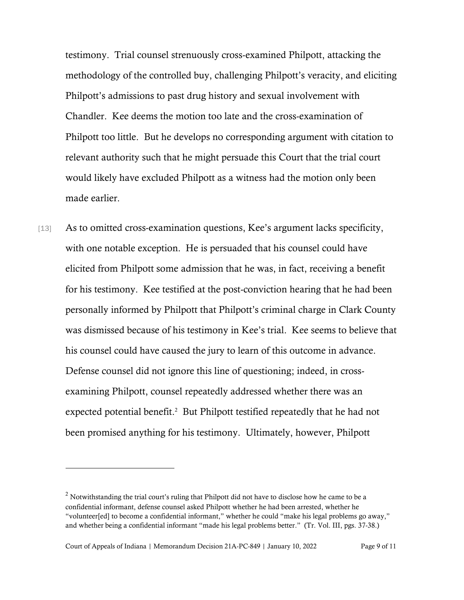testimony. Trial counsel strenuously cross-examined Philpott, attacking the methodology of the controlled buy, challenging Philpott's veracity, and eliciting Philpott's admissions to past drug history and sexual involvement with Chandler. Kee deems the motion too late and the cross-examination of Philpott too little. But he develops no corresponding argument with citation to relevant authority such that he might persuade this Court that the trial court would likely have excluded Philpott as a witness had the motion only been made earlier.

[13] As to omitted cross-examination questions, Kee's argument lacks specificity, with one notable exception. He is persuaded that his counsel could have elicited from Philpott some admission that he was, in fact, receiving a benefit for his testimony. Kee testified at the post-conviction hearing that he had been personally informed by Philpott that Philpott's criminal charge in Clark County was dismissed because of his testimony in Kee's trial. Kee seems to believe that his counsel could have caused the jury to learn of this outcome in advance. Defense counsel did not ignore this line of questioning; indeed, in crossexamining Philpott, counsel repeatedly addressed whether there was an expected potential benefit.<sup>2</sup> But Philpott testified repeatedly that he had not been promised anything for his testimony. Ultimately, however, Philpott

 $<sup>2</sup>$  Notwithstanding the trial court's ruling that Philpott did not have to disclose how he came to be a</sup> confidential informant, defense counsel asked Philpott whether he had been arrested, whether he "volunteer[ed] to become a confidential informant," whether he could "make his legal problems go away," and whether being a confidential informant "made his legal problems better." (Tr. Vol. III, pgs. 37-38.)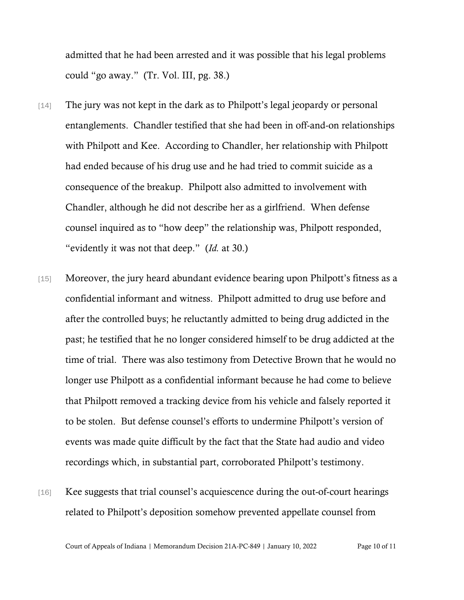admitted that he had been arrested and it was possible that his legal problems could "go away." (Tr. Vol. III, pg. 38.)

- [14] The jury was not kept in the dark as to Philpott's legal jeopardy or personal entanglements. Chandler testified that she had been in off-and-on relationships with Philpott and Kee. According to Chandler, her relationship with Philpott had ended because of his drug use and he had tried to commit suicide as a consequence of the breakup. Philpott also admitted to involvement with Chandler, although he did not describe her as a girlfriend. When defense counsel inquired as to "how deep" the relationship was, Philpott responded, "evidently it was not that deep." (*Id.* at 30.)
- [15] Moreover, the jury heard abundant evidence bearing upon Philpott's fitness as a confidential informant and witness. Philpott admitted to drug use before and after the controlled buys; he reluctantly admitted to being drug addicted in the past; he testified that he no longer considered himself to be drug addicted at the time of trial. There was also testimony from Detective Brown that he would no longer use Philpott as a confidential informant because he had come to believe that Philpott removed a tracking device from his vehicle and falsely reported it to be stolen. But defense counsel's efforts to undermine Philpott's version of events was made quite difficult by the fact that the State had audio and video recordings which, in substantial part, corroborated Philpott's testimony.
- [16] Kee suggests that trial counsel's acquiescence during the out-of-court hearings related to Philpott's deposition somehow prevented appellate counsel from

Court of Appeals of Indiana | Memorandum Decision 21A-PC-849 | January 10, 2022 Page 10 of 11